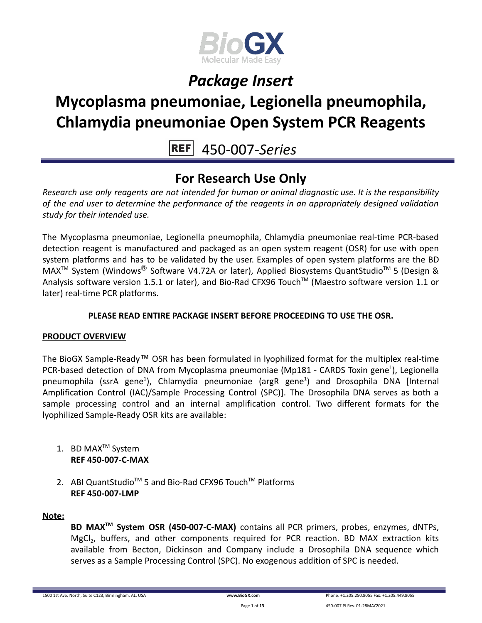

# **Mycoplasma pneumoniae, Legionella pneumophila, Chlamydia pneumoniae Open System PCR Reagents**

450-007-*Series*

### **For Research Use Only**

*Research use only reagents are not intended for human or animal diagnostic use. It is the responsibility of the end user to determine the performance of the reagents in an appropriately designed validation study for their intended use.*

The Mycoplasma pneumoniae, Legionella pneumophila, Chlamydia pneumoniae real-time PCR-based detection reagent is manufactured and packaged as an open system reagent (OSR) for use with open system platforms and has to be validated by the user. Examples of open system platforms are the BD MAX<sup>™</sup> System (Windows<sup>®</sup> Software V4.72A or later), Applied Biosystems QuantStudio<sup>™</sup> 5 (Design & Analysis software version 1.5.1 or later), and Bio-Rad CFX96 Touch™ (Maestro software version 1.1 or later) real-time PCR platforms.

### **PLEASE READ ENTIRE PACKAGE INSERT BEFORE PROCEEDING TO USE THE OSR.**

### **PRODUCT OVERVIEW**

The BioGX Sample-Ready™ OSR has been formulated in lyophilized format for the multiplex real-time PCR-based detection of DNA from Mycoplasma pneumoniae (Mp181 - CARDS Toxin gene<sup>1</sup>), Legionella pneumophila (ssrA gene<sup>1</sup>), Chlamydia pneumoniae (argR gene<sup>1</sup>) and Drosophila DNA [Internal Amplification Control (IAC)/Sample Processing Control (SPC)]. The Drosophila DNA serves as both a sample processing control and an internal amplification control. Two different formats for the lyophilized Sample-Ready OSR kits are available:

- 1. BD MAX<sup>™</sup> System **REF 450-007-C-MAX**
- 2. ABI QuantStudio<sup>™</sup> 5 and Bio-Rad CFX96 Touch™ Platforms **REF 450-007-LMP**

### **Note:**

**BD MAXTM System OSR (450-007-C-MAX)** contains all PCR primers, probes, enzymes, dNTPs, MgCl<sub>2</sub>, buffers, and other components required for PCR reaction. BD MAX extraction kits available from Becton, Dickinson and Company include a Drosophila DNA sequence which serves as a Sample Processing Control (SPC). No exogenous addition of SPC is needed.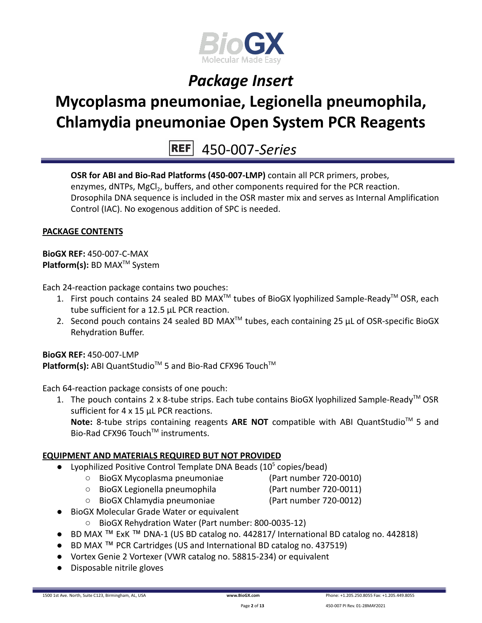

# **Mycoplasma pneumoniae, Legionella pneumophila, Chlamydia pneumoniae Open System PCR Reagents**

450-007-*Series*

**OSR for ABI and Bio-Rad Platforms (450-007-LMP)** contain all PCR primers, probes, enzymes, dNTPs, MgCl<sub>2</sub>, buffers, and other components required for the PCR reaction. Drosophila DNA sequence is included in the OSR master mix and serves as Internal Amplification Control (IAC). No exogenous addition of SPC is needed.

### **PACKAGE CONTENTS**

**BioGX REF:** 450-007-C-MAX **Platform(s):** BD MAX<sup>™</sup> System

Each 24-reaction package contains two pouches:

- 1. First pouch contains 24 sealed BD MAX<sup>™</sup> tubes of BioGX lyophilized Sample-Ready<sup>™</sup> OSR, each tube sufficient for a 12.5 µL PCR reaction.
- 2. Second pouch contains 24 sealed BD MAX<sup>™</sup> tubes, each containing 25  $\mu$ L of OSR-specific BioGX Rehydration Buffer.

**BioGX REF:** 450-007-LMP Platform(s): ABI QuantStudio<sup>™</sup> 5 and Bio-Rad CFX96 Touch<sup>™</sup>

Each 64-reaction package consists of one pouch:

1. The pouch contains 2 x 8-tube strips. Each tube contains BioGX lyophilized Sample-Ready<sup>™</sup> OSR sufficient for 4 x 15 uL PCR reactions.

Note: 8-tube strips containing reagents ARE NOT compatible with ABI QuantStudio<sup>™</sup> 5 and Bio-Rad CFX96 Touch™ instruments.

### **EQUIPMENT AND MATERIALS REQUIRED BUT NOT PROVIDED**

- Lyophilized Positive Control Template DNA Beads  $(10^5 \text{ copies/head})$ 
	- BioGX Mycoplasma pneumoniae (Part number 720-0010)
		-
	- BioGX Legionella pneumophila (Part number 720-0011)
		-
	- BioGX Chlamydia pneumoniae (Part number 720-0012)
- BioGX Molecular Grade Water or equivalent
	- BioGX Rehydration Water (Part number: 800-0035-12)
- BD MAX ™ ExK ™ DNA-1 (US BD catalog no. 442817/ International BD catalog no. 442818)
- BD MAX ™ PCR Cartridges (US and International BD catalog no. 437519)
- Vortex Genie 2 Vortexer (VWR catalog no. 58815-234) or equivalent
- Disposable nitrile gloves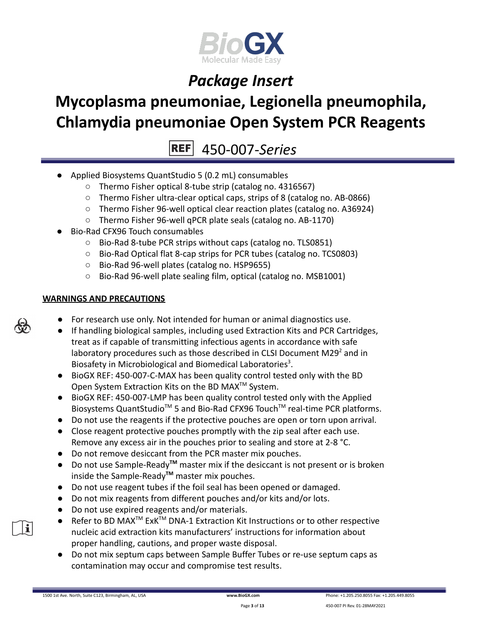

# **Mycoplasma pneumoniae, Legionella pneumophila, Chlamydia pneumoniae Open System PCR Reagents**

 $REF$ 450-007-*Series*

- Applied Biosystems QuantStudio 5 (0.2 mL) consumables
	- Thermo Fisher optical 8-tube strip (catalog no. 4316567)
	- Thermo Fisher ultra-clear optical caps, strips of 8 (catalog no. AB-0866)
	- Thermo Fisher 96-well optical clear reaction plates (catalog no. A36924)
	- Thermo Fisher 96-well qPCR plate seals (catalog no. AB-1170)
- Bio-Rad CFX96 Touch consumables
	- Bio-Rad 8-tube PCR strips without caps (catalog no. TLS0851)
	- Bio-Rad Optical flat 8-cap strips for PCR tubes (catalog no. TCS0803)
	- Bio-Rad 96-well plates (catalog no. HSP9655)
	- Bio-Rad 96-well plate sealing film, optical (catalog no. MSB1001)

### **WARNINGS AND PRECAUTIONS**

- For research use only. Not intended for human or animal diagnostics use.
- If handling biological samples, including used Extraction Kits and PCR Cartridges, treat as if capable of transmitting infectious agents in accordance with safe laboratory procedures such as those described in CLSI Document M29 $2$  and in Biosafety in Microbiological and Biomedical Laboratories<sup>3</sup>.
- BioGX REF: 450-007-C-MAX has been quality control tested only with the BD Open System Extraction Kits on the BD MAX<sup>™</sup> System.
- BioGX REF: 450-007-LMP has been quality control tested only with the Applied Biosystems QuantStudio<sup>™</sup> 5 and Bio-Rad CFX96 Touch<sup>™</sup> real-time PCR platforms.
- Do not use the reagents if the protective pouches are open or torn upon arrival.
- Close reagent protective pouches promptly with the zip seal after each use. Remove any excess air in the pouches prior to sealing and store at 2-8 °C.
- Do not remove desiccant from the PCR master mix pouches.
- Do not use Sample-Ready**TM** master mix if the desiccant is not present or is broken inside the Sample-Ready**TM** master mix pouches.
- Do not use reagent tubes if the foil seal has been opened or damaged.
- Do not mix reagents from different pouches and/or kits and/or lots.
- Do not use expired reagents and/or materials.
- Refer to BD MAX<sup>™</sup> ExK<sup>™</sup> DNA-1 Extraction Kit Instructions or to other respective nucleic acid extraction kits manufacturers' instructions for information about proper handling, cautions, and proper waste disposal.
- Do not mix septum caps between Sample Buffer Tubes or re-use septum caps as contamination may occur and compromise test results.



 $\mathbf{i}$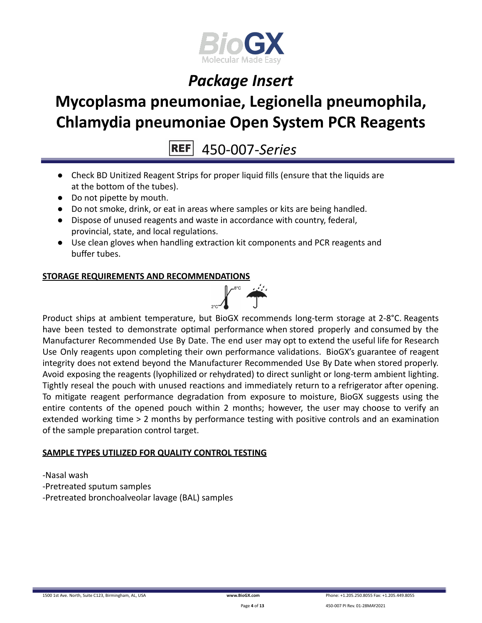

# **Mycoplasma pneumoniae, Legionella pneumophila, Chlamydia pneumoniae Open System PCR Reagents**

450-007-*Series*

- Check BD Unitized Reagent Strips for proper liquid fills (ensure that the liquids are at the bottom of the tubes).
- Do not pipette by mouth.
- Do not smoke, drink, or eat in areas where samples or kits are being handled.
- Dispose of unused reagents and waste in accordance with country, federal, provincial, state, and local regulations.
- Use clean gloves when handling extraction kit components and PCR reagents and buffer tubes.

### **STORAGE REQUIREMENTS AND RECOMMENDATIONS**



Product ships at ambient temperature, but BioGX recommends long-term storage at 2-8°C. Reagents have been tested to demonstrate optimal performance when stored properly and consumed by the Manufacturer Recommended Use By Date. The end user may opt to extend the useful life for Research Use Only reagents upon completing their own performance validations. BioGX's guarantee of reagent integrity does not extend beyond the Manufacturer Recommended Use By Date when stored properly. Avoid exposing the reagents (lyophilized or rehydrated) to direct sunlight or long-term ambient lighting. Tightly reseal the pouch with unused reactions and immediately return to a refrigerator after opening. To mitigate reagent performance degradation from exposure to moisture, BioGX suggests using the entire contents of the opened pouch within 2 months; however, the user may choose to verify an extended working time > 2 months by performance testing with positive controls and an examination of the sample preparation control target.

### **SAMPLE TYPES UTILIZED FOR QUALITY CONTROL TESTING**

-Nasal wash -Pretreated sputum samples -Pretreated bronchoalveolar lavage (BAL) samples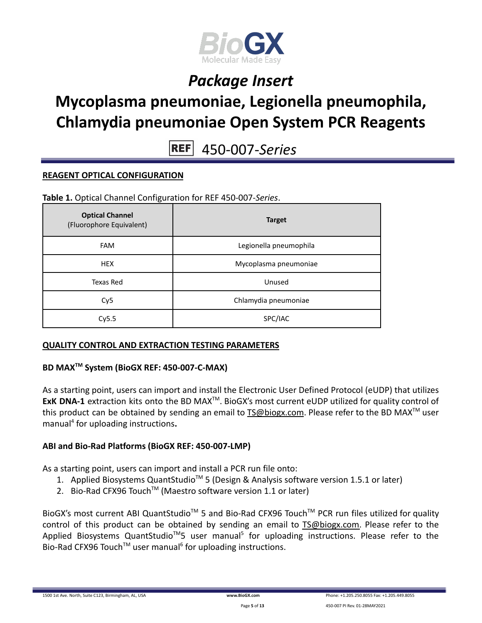

# **Mycoplasma pneumoniae, Legionella pneumophila, Chlamydia pneumoniae Open System PCR Reagents**

**REF** 450-007-*Series*

### **REAGENT OPTICAL CONFIGURATION**

**Table 1.** Optical Channel Configuration for REF 450-007-*Series*.

| <b>Optical Channel</b><br>(Fluorophore Equivalent) | <b>Target</b>          |
|----------------------------------------------------|------------------------|
| <b>FAM</b>                                         | Legionella pneumophila |
| <b>HEX</b>                                         | Mycoplasma pneumoniae  |
| Texas Red                                          | Unused                 |
| Cy <sub>5</sub>                                    | Chlamydia pneumoniae   |
| Cy5.5                                              | SPC/IAC                |

### **QUALITY CONTROL AND EXTRACTION TESTING PARAMETERS**

### **BD MAXTM System (BioGX REF: 450-007-C-MAX)**

As a starting point, users can import and install the Electronic User Defined Protocol (eUDP) that utilizes ExK DNA-1 extraction kits onto the BD MAX<sup>™</sup>. BioGX's most current eUDP utilized for quality control of this product can be obtained by sending an email to [TS@biogx.com](mailto:TS@biogx.com). Please refer to the BD MAX<sup>TM</sup> user manual<sup>4</sup> for uploading instructions**.**

### **ABI and Bio-Rad Platforms (BioGX REF: 450-007-LMP)**

As a starting point, users can import and install a PCR run file onto:

- 1. Applied Biosystems QuantStudio<sup>™</sup> 5 (Design & Analysis software version 1.5.1 or later)
- 2. Bio-Rad CFX96 Touch<sup>™</sup> (Maestro software version 1.1 or later)

BioGX's most current ABI QuantStudio<sup>™</sup> 5 and Bio-Rad CFX96 Touch<sup>™</sup> PCR run files utilized for quality control of this product can be obtained by sending an email to [TS@biogx.com.](mailto:TS@biogx.com) Please refer to the Applied Biosystems QuantStudio<sup>™</sup>5 user manual<sup>5</sup> for uploading instructions. Please refer to the Bio-Rad CFX96 Touch<sup>™</sup> user manual<sup>6</sup> for uploading instructions.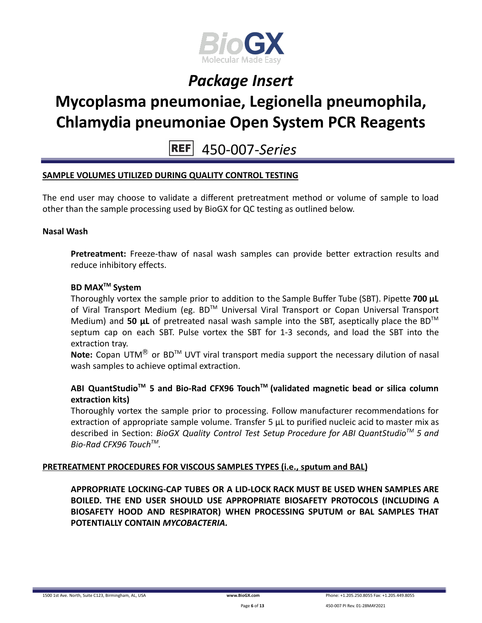

# **Mycoplasma pneumoniae, Legionella pneumophila, Chlamydia pneumoniae Open System PCR Reagents**

450-007-*Series* **REFI** 

### **SAMPLE VOLUMES UTILIZED DURING QUALITY CONTROL TESTING**

The end user may choose to validate a different pretreatment method or volume of sample to load other than the sample processing used by BioGX for QC testing as outlined below.

#### **Nasal Wash**

**Pretreatment:** Freeze-thaw of nasal wash samples can provide better extraction results and reduce inhibitory effects.

### **BD MAXTM System**

Thoroughly vortex the sample prior to addition to the Sample Buffer Tube (SBT). Pipette **700 μL** of Viral Transport Medium (eg. BD™ Universal Viral Transport or Copan Universal Transport Medium) and 50 **µL** of pretreated nasal wash sample into the SBT, aseptically place the BD<sup>™</sup> septum cap on each SBT. Pulse vortex the SBT for 1-3 seconds, and load the SBT into the extraction tray.

**Note:** Copan UTM<sup>®</sup> or BD<sup>™</sup> UVT viral transport media support the necessary dilution of nasal wash samples to achieve optimal extraction.

### **ABI QuantStudioTM 5 and Bio-Rad CFX96 TouchTM (validated magnetic bead or silica column extraction kits)**

Thoroughly vortex the sample prior to processing. Follow manufacturer recommendations for extraction of appropriate sample volume. Transfer 5 μL to purified nucleic acid to master mix as described in Section: *BioGX Quality Control Test Setup Procedure for ABI QuantStudioTM 5 and Bio-Rad CFX96 TouchTM .*

### **PRETREATMENT PROCEDURES FOR VISCOUS SAMPLES TYPES (i.e., sputum and BAL)**

**APPROPRIATE LOCKING-CAP TUBES OR A LID-LOCK RACK MUST BE USED WHEN SAMPLES ARE BOILED. THE END USER SHOULD USE APPROPRIATE BIOSAFETY PROTOCOLS (INCLUDING A BIOSAFETY HOOD AND RESPIRATOR) WHEN PROCESSING SPUTUM or BAL SAMPLES THAT POTENTIALLY CONTAIN** *MYCOBACTERIA.*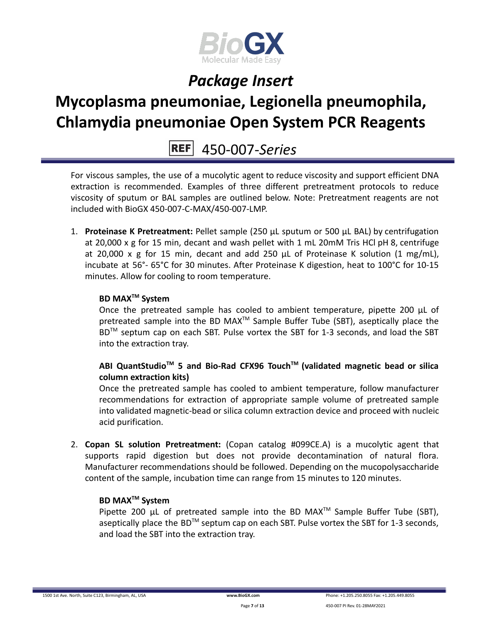

# **Mycoplasma pneumoniae, Legionella pneumophila, Chlamydia pneumoniae Open System PCR Reagents**

### 450-007-*Series*

For viscous samples, the use of a mucolytic agent to reduce viscosity and support efficient DNA extraction is recommended. Examples of three different pretreatment protocols to reduce viscosity of sputum or BAL samples are outlined below. Note: Pretreatment reagents are not included with BioGX 450-007-C-MAX/450-007-LMP.

1. **Proteinase K Pretreatment:** Pellet sample (250 μL sputum or 500 μL BAL) by centrifugation at 20,000 x g for 15 min, decant and wash pellet with 1 mL 20mM Tris HCl pH 8, centrifuge at 20,000 x g for 15 min, decant and add 250 μL of Proteinase K solution (1 mg/mL), incubate at 56°- 65°C for 30 minutes. After Proteinase K digestion, heat to 100°C for 10-15 minutes. Allow for cooling to room temperature.

### **BD MAXTM System**

Once the pretreated sample has cooled to ambient temperature, pipette 200 μL of pretreated sample into the BD MAX<sup>™</sup> Sample Buffer Tube (SBT), aseptically place the BD<sup>™</sup> septum cap on each SBT. Pulse vortex the SBT for 1-3 seconds, and load the SBT into the extraction tray.

### **ABI QuantStudioTM 5 and Bio-Rad CFX96 TouchTM (validated magnetic bead or silica column extraction kits)**

Once the pretreated sample has cooled to ambient temperature, follow manufacturer recommendations for extraction of appropriate sample volume of pretreated sample into validated magnetic-bead or silica column extraction device and proceed with nucleic acid purification.

2. **Copan SL solution Pretreatment:** (Copan catalog #099CE.A) is a mucolytic agent that supports rapid digestion but does not provide decontamination of natural flora. Manufacturer recommendations should be followed. Depending on the mucopolysaccharide content of the sample, incubation time can range from 15 minutes to 120 minutes.

### **BD MAXTM System**

Pipette 200  $\mu$ L of pretreated sample into the BD MAX<sup>TM</sup> Sample Buffer Tube (SBT), aseptically place the BD<sup>TM</sup> septum cap on each SBT. Pulse vortex the SBT for 1-3 seconds, and load the SBT into the extraction tray.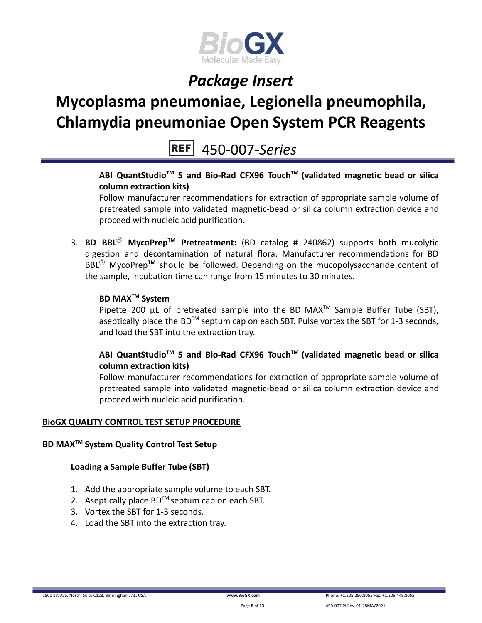

# **Mycoplasma pneumoniae, Legionella pneumophila, Chlamydia pneumoniae Open System PCR Reagents**

450-007-*Series*

### **ABI QuantStudioTM 5 and Bio-Rad CFX96 TouchTM (validated magnetic bead or silica column extraction kits)**

Follow manufacturer recommendations for extraction of appropriate sample volume of pretreated sample into validated magnetic-bead or silica column extraction device and proceed with nucleic acid purification.

3. **BD BBL**Ⓡ **MycoPrepTM Pretreatment:** (BD catalog # 240862) supports both mucolytic digestion and decontamination of natural flora. Manufacturer recommendations for BD BBL<sup>®</sup> MycoPrep<sup>™</sup> should be followed. Depending on the mucopolysaccharide content of the sample, incubation time can range from 15 minutes to 30 minutes.

### **BD MAXTM System**

Pipette 200  $\mu$ L of pretreated sample into the BD MAX<sup>TM</sup> Sample Buffer Tube (SBT), aseptically place the BD<sup>TM</sup> septum cap on each SBT. Pulse vortex the SBT for 1-3 seconds, and load the SBT into the extraction tray.

### **ABI QuantStudioTM 5 and Bio-Rad CFX96 TouchTM (validated magnetic bead or silica column extraction kits)**

Follow manufacturer recommendations for extraction of appropriate sample volume of pretreated sample into validated magnetic-bead or silica column extraction device and proceed with nucleic acid purification.

### **BioGX QUALITY CONTROL TEST SETUP PROCEDURE**

### **BD MAXTM System Quality Control Test Setup**

### **Loading a Sample Buffer Tube (SBT)**

- 1. Add the appropriate sample volume to each SBT.
- 2. Aseptically place  $BD^{TM}$  septum cap on each SBT.
- 3. Vortex the SBT for 1-3 seconds.
- 4. Load the SBT into the extraction tray.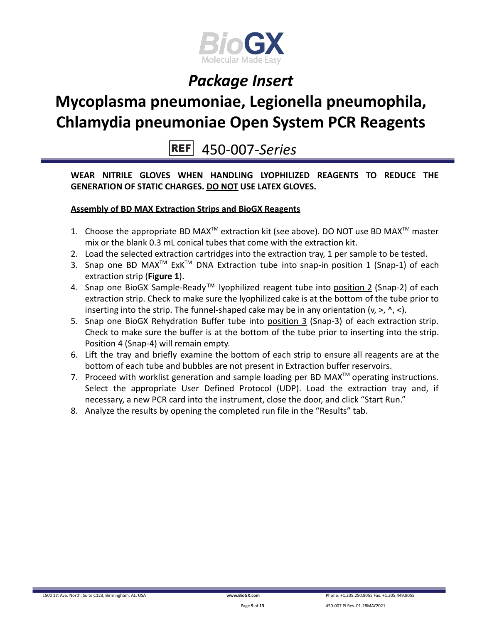

# **Mycoplasma pneumoniae, Legionella pneumophila, Chlamydia pneumoniae Open System PCR Reagents**

**REF** 450-007-*Series*

**WEAR NITRILE GLOVES WHEN HANDLING LYOPHILIZED REAGENTS TO REDUCE THE GENERATION OF STATIC CHARGES. DO NOT USE LATEX GLOVES.**

### **Assembly of BD MAX Extraction Strips and BioGX Reagents**

- 1. Choose the appropriate BD MAX<sup>TM</sup> extraction kit (see above). DO NOT use BD MAX<sup>TM</sup> master mix or the blank 0.3 mL conical tubes that come with the extraction kit.
- 2. Load the selected extraction cartridges into the extraction tray, 1 per sample to be tested.
- 3. Snap one BD MAX<sup>™</sup> ExK<sup>™</sup> DNA Extraction tube into snap-in position 1 (Snap-1) of each extraction strip (**Figure 1**).
- 4. Snap one BioGX Sample-Ready™ lyophilized reagent tube into position 2 (Snap-2) of each extraction strip. Check to make sure the lyophilized cake is at the bottom of the tube prior to inserting into the strip. The funnel-shaped cake may be in any orientation  $(v, >, \land, <)$ .
- 5. Snap one BioGX Rehydration Buffer tube into position 3 (Snap-3) of each extraction strip. Check to make sure the buffer is at the bottom of the tube prior to inserting into the strip. Position 4 (Snap-4) will remain empty.
- 6. Lift the tray and briefly examine the bottom of each strip to ensure all reagents are at the bottom of each tube and bubbles are not present in Extraction buffer reservoirs.
- 7. Proceed with worklist generation and sample loading per BD MAX $^{TM}$  operating instructions. Select the appropriate User Defined Protocol (UDP). Load the extraction tray and, if necessary, a new PCR card into the instrument, close the door, and click "Start Run."
- 8. Analyze the results by opening the completed run file in the "Results" tab.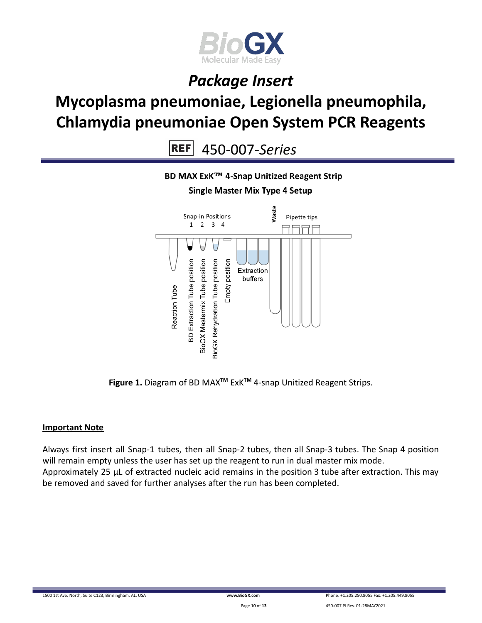

# **Mycoplasma pneumoniae, Legionella pneumophila, Chlamydia pneumoniae Open System PCR Reagents**

 $REF$ 450-007-*Series*



**Figure 1.** Diagram of BD MAX**TM** ExK**TM** 4-snap Unitized Reagent Strips.

### **Important Note**

Always first insert all Snap-1 tubes, then all Snap-2 tubes, then all Snap-3 tubes. The Snap 4 position will remain empty unless the user has set up the reagent to run in dual master mix mode. Approximately 25 µL of extracted nucleic acid remains in the position 3 tube after extraction. This may be removed and saved for further analyses after the run has been completed.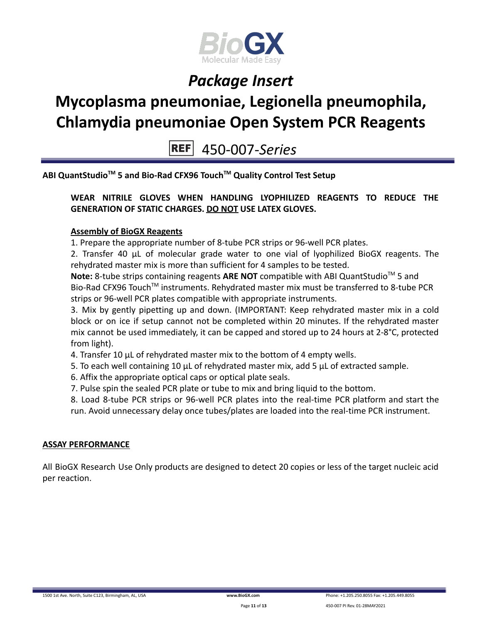

# **Mycoplasma pneumoniae, Legionella pneumophila, Chlamydia pneumoniae Open System PCR Reagents**

450-007-*Series*

**ABI QuantStudioTM 5 and Bio-Rad CFX96 TouchTM Quality Control Test Setup**

### **WEAR NITRILE GLOVES WHEN HANDLING LYOPHILIZED REAGENTS TO REDUCE THE GENERATION OF STATIC CHARGES. DO NOT USE LATEX GLOVES.**

### **Assembly of BioGX Reagents**

1. Prepare the appropriate number of 8-tube PCR strips or 96-well PCR plates.

2. Transfer 40 μL of molecular grade water to one vial of lyophilized BioGX reagents. The rehydrated master mix is more than sufficient for 4 samples to be tested.

Note: 8-tube strips containing reagents ARE NOT compatible with ABI QuantStudio<sup>™</sup> 5 and Bio-Rad CFX96 Touch<sup>™</sup> instruments. Rehydrated master mix must be transferred to 8-tube PCR strips or 96-well PCR plates compatible with appropriate instruments.

3. Mix by gently pipetting up and down. (IMPORTANT: Keep rehydrated master mix in a cold block or on ice if setup cannot not be completed within 20 minutes. If the rehydrated master mix cannot be used immediately, it can be capped and stored up to 24 hours at 2-8°C, protected from light).

- 4. Transfer 10 μL of rehydrated master mix to the bottom of 4 empty wells.
- 5. To each well containing 10 μL of rehydrated master mix, add 5 μL of extracted sample.
- 6. Affix the appropriate optical caps or optical plate seals.
- 7. Pulse spin the sealed PCR plate or tube to mix and bring liquid to the bottom.

8. Load 8-tube PCR strips or 96-well PCR plates into the real-time PCR platform and start the run. Avoid unnecessary delay once tubes/plates are loaded into the real-time PCR instrument.

### **ASSAY PERFORMANCE**

All BioGX Research Use Only products are designed to detect 20 copies or less of the target nucleic acid per reaction.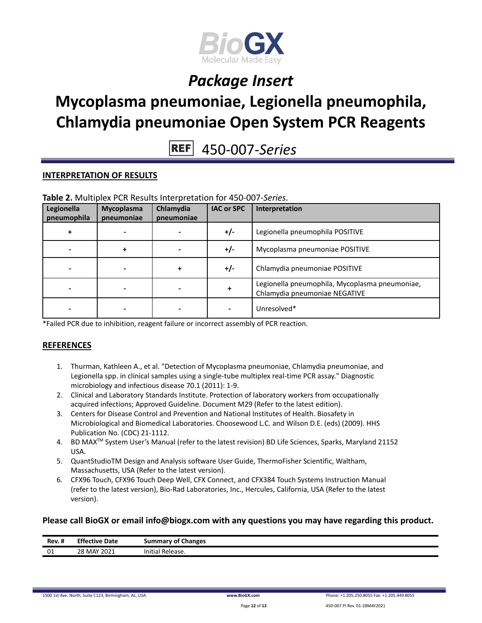

# **Mycoplasma pneumoniae, Legionella pneumophila, Chlamydia pneumoniae Open System PCR Reagents**

450-007-*Series*

#### **INTERPRETATION OF RESULTS**

| Legionella<br>pneumophila | Mycoplasma<br>pneumoniae | Chlamydia<br>pneumoniae | <b>IAC or SPC</b> | Interpretation                                                                  |
|---------------------------|--------------------------|-------------------------|-------------------|---------------------------------------------------------------------------------|
|                           |                          |                         | +/-               | Legionella pneumophila POSITIVE                                                 |
|                           |                          |                         | $+/-$             | Mycoplasma pneumoniae POSITIVE                                                  |
|                           |                          |                         | $+/-$             | Chlamydia pneumoniae POSITIVE                                                   |
|                           |                          |                         |                   | Legionella pneumophila, Mycoplasma pneumoniae,<br>Chlamydia pneumoniae NEGATIVE |
|                           |                          |                         |                   | Unresolved*                                                                     |

**Table 2.** Multiplex PCR Results Interpretation for 450-007-*Series*.

\*Failed PCR due to inhibition, reagent failure or incorrect assembly of PCR reaction.

#### **REFERENCES**

- 1. Thurman, Kathleen A., et al. "Detection of Mycoplasma pneumoniae, Chlamydia pneumoniae, and Legionella spp. in clinical samples using a single-tube multiplex real-time PCR assay." Diagnostic microbiology and infectious disease 70.1 (2011): 1-9.
- 2. Clinical and Laboratory Standards Institute. Protection of laboratory workers from occupationally acquired infections; Approved Guideline. Document M29 (Refer to the latest edition).
- 3. Centers for Disease Control and Prevention and National Institutes of Health. Biosafety in Microbiological and Biomedical Laboratories. Choosewood L.C. and Wilson D.E. (eds) (2009). HHS Publication No. (CDC) 21-1112.
- 4. BD MAX<sup>™</sup> System User's Manual (refer to the latest revision) BD Life Sciences, Sparks, Maryland 21152 USA.
- 5. QuantStudioTM Design and Analysis software User Guide, ThermoFisher Scientific, Waltham, Massachusetts, USA (Refer to the latest version).
- 6. CFX96 Touch, CFX96 Touch Deep Well, CFX Connect, and CFX384 Touch Systems Instruction Manual (refer to the latest version), Bio-Rad Laboratories, Inc., Hercules, California, USA (Refer to the latest version).

#### **Please call BioGX or email info@biogx.com with any questions you may have regarding this product.**

| <br>Rev. # | <b>Effective Date</b> | <b>Summary of Changes</b> |
|------------|-----------------------|---------------------------|
| ω1<br>υı   | 28 MAY 2021           | ' Release.<br>Initial     |